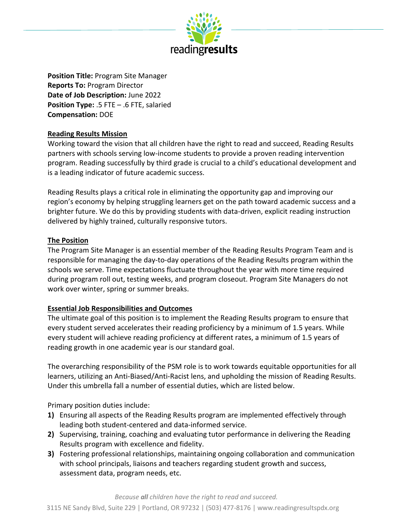

**Position Title:** Program Site Manager **Reports To:** Program Director **Date of Job Description:** June 2022 **Position Type:** .5 FTE – .6 FTE, salaried **Compensation:** DOE

### **Reading Results Mission**

Working toward the vision that all children have the right to read and succeed, Reading Results partners with schools serving low-income students to provide a proven reading intervention program. Reading successfully by third grade is crucial to a child's educational development and is a leading indicator of future academic success.

Reading Results plays a critical role in eliminating the opportunity gap and improving our region's economy by helping struggling learners get on the path toward academic success and a brighter future. We do this by providing students with data-driven, explicit reading instruction delivered by highly trained, culturally responsive tutors.

### **The Position**

The Program Site Manager is an essential member of the Reading Results Program Team and is responsible for managing the day-to-day operations of the Reading Results program within the schools we serve. Time expectations fluctuate throughout the year with more time required during program roll out, testing weeks, and program closeout. Program Site Managers do not work over winter, spring or summer breaks.

### **Essential Job Responsibilities and Outcomes**

The ultimate goal of this position is to implement the Reading Results program to ensure that every student served accelerates their reading proficiency by a minimum of 1.5 years. While every student will achieve reading proficiency at different rates, a minimum of 1.5 years of reading growth in one academic year is our standard goal.

The overarching responsibility of the PSM role is to work towards equitable opportunities for all learners, utilizing an Anti-Biased/Anti-Racist lens, and upholding the mission of Reading Results. Under this umbrella fall a number of essential duties, which are listed below.

Primary position duties include:

- **1)** Ensuring all aspects of the Reading Results program are implemented effectively through leading both student-centered and data-informed service.
- **2)** Supervising, training, coaching and evaluating tutor performance in delivering the Reading Results program with excellence and fidelity.
- **3)** Fostering professional relationships, maintaining ongoing collaboration and communication with school principals, liaisons and teachers regarding student growth and success, assessment data, program needs, etc.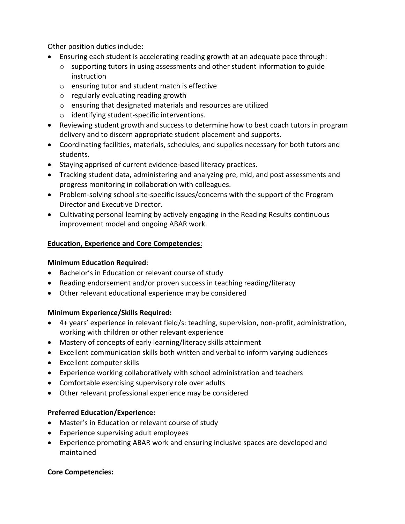Other position duties include:

- Ensuring each student is accelerating reading growth at an adequate pace through:
	- $\circ$  supporting tutors in using assessments and other student information to guide instruction
	- o ensuring tutor and student match is effective
	- o regularly evaluating reading growth
	- o ensuring that designated materials and resources are utilized
	- o identifying student-specific interventions.
- Reviewing student growth and success to determine how to best coach tutors in program delivery and to discern appropriate student placement and supports.
- Coordinating facilities, materials, schedules, and supplies necessary for both tutors and students.
- Staying apprised of current evidence-based literacy practices.
- Tracking student data, administering and analyzing pre, mid, and post assessments and progress monitoring in collaboration with colleagues.
- Problem-solving school site-specific issues/concerns with the support of the Program Director and Executive Director.
- Cultivating personal learning by actively engaging in the Reading Results continuous improvement model and ongoing ABAR work.

## **Education, Experience and Core Competencies**:

### **Minimum Education Required**:

- Bachelor's in Education or relevant course of study
- Reading endorsement and/or proven success in teaching reading/literacy
- Other relevant educational experience may be considered

### **Minimum Experience/Skills Required:**

- 4+ years' experience in relevant field/s: teaching, supervision, non-profit, administration, working with children or other relevant experience
- Mastery of concepts of early learning/literacy skills attainment
- Excellent communication skills both written and verbal to inform varying audiences
- Excellent computer skills
- Experience working collaboratively with school administration and teachers
- Comfortable exercising supervisory role over adults
- Other relevant professional experience may be considered

### **Preferred Education/Experience:**

- Master's in Education or relevant course of study
- Experience supervising adult employees
- Experience promoting ABAR work and ensuring inclusive spaces are developed and maintained

### **Core Competencies:**